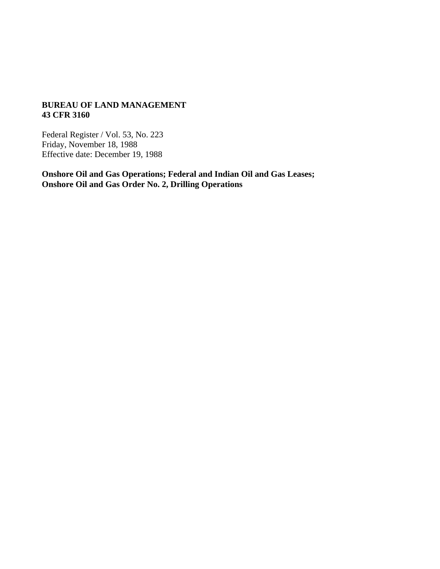### **BUREAU OF LAND MANAGEMENT 43 CFR 3160**

Federal Register / Vol. 53, No. 223 Friday, November 18, 1988 Effective date: December 19, 1988

**Onshore Oil and Gas Operations; Federal and Indian Oil and Gas Leases; Onshore Oil and Gas Order No. 2, Drilling Operations**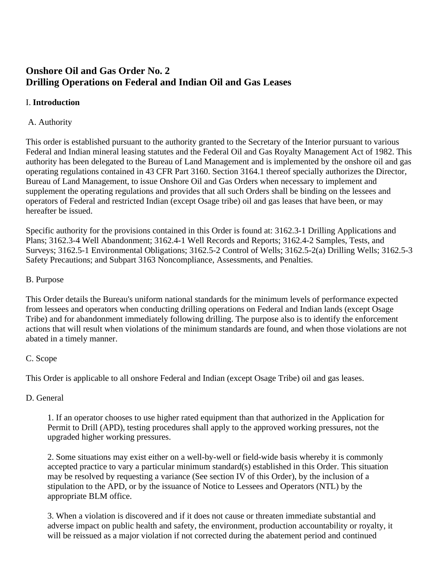# **Onshore Oil and Gas Order No. 2 Drilling Operations on Federal and Indian Oil and Gas Leases**

# I. **Introduction**

# A. Authority

This order is established pursuant to the authority granted to the Secretary of the Interior pursuant to various Federal and Indian mineral leasing statutes and the Federal Oil and Gas Royalty Management Act of 1982. This authority has been delegated to the Bureau of Land Management and is implemented by the onshore oil and gas operating regulations contained in 43 CFR Part 3160. Section 3164.1 thereof specially authorizes the Director, Bureau of Land Management, to issue Onshore Oil and Gas Orders when necessary to implement and supplement the operating regulations and provides that all such Orders shall be binding on the lessees and operators of Federal and restricted Indian (except Osage tribe) oil and gas leases that have been, or may hereafter be issued.

Specific authority for the provisions contained in this Order is found at: 3162.3-1 Drilling Applications and Plans; 3162.3-4 Well Abandonment; 3162.4-1 Well Records and Reports; 3162.4-2 Samples, Tests, and Surveys; 3162.5-1 Environmental Obligations; 3162.5-2 Control of Wells; 3162.5-2(a) Drilling Wells; 3162.5-3 Safety Precautions; and Subpart 3163 Noncompliance, Assessments, and Penalties.

## B. Purpose

This Order details the Bureau's uniform national standards for the minimum levels of performance expected from lessees and operators when conducting drilling operations on Federal and Indian lands (except Osage Tribe) and for abandonment immediately following drilling. The purpose also is to identify the enforcement actions that will result when violations of the minimum standards are found, and when those violations are not abated in a timely manner.

## C. Scope

This Order is applicable to all onshore Federal and Indian (except Osage Tribe) oil and gas leases.

## D. General

1. If an operator chooses to use higher rated equipment than that authorized in the Application for Permit to Drill (APD), testing procedures shall apply to the approved working pressures, not the upgraded higher working pressures.

2. Some situations may exist either on a well-by-well or field-wide basis whereby it is commonly accepted practice to vary a particular minimum standard(s) established in this Order. This situation may be resolved by requesting a variance (See section IV of this Order), by the inclusion of a stipulation to the APD, or by the issuance of Notice to Lessees and Operators (NTL) by the appropriate BLM office.

3. When a violation is discovered and if it does not cause or threaten immediate substantial and adverse impact on public health and safety, the environment, production accountability or royalty, it will be reissued as a major violation if not corrected during the abatement period and continued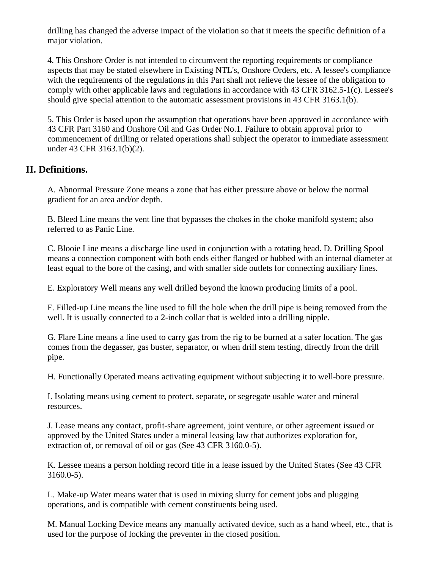drilling has changed the adverse impact of the violation so that it meets the specific definition of a major violation.

4. This Onshore Order is not intended to circumvent the reporting requirements or compliance aspects that may be stated elsewhere in Existing NTL's, Onshore Orders, etc. A lessee's compliance with the requirements of the regulations in this Part shall not relieve the lessee of the obligation to comply with other applicable laws and regulations in accordance with 43 CFR 3162.5-1(c). Lessee's should give special attention to the automatic assessment provisions in 43 CFR 3163.1(b).

5. This Order is based upon the assumption that operations have been approved in accordance with 43 CFR Part 3160 and Onshore Oil and Gas Order No.1. Failure to obtain approval prior to commencement of drilling or related operations shall subject the operator to immediate assessment under 43 CFR 3163.1(b)(2).

# **II. Definitions.**

A. Abnormal Pressure Zone means a zone that has either pressure above or below the normal gradient for an area and/or depth.

B. Bleed Line means the vent line that bypasses the chokes in the choke manifold system; also referred to as Panic Line.

C. Blooie Line means a discharge line used in conjunction with a rotating head. D. Drilling Spool means a connection component with both ends either flanged or hubbed with an internal diameter at least equal to the bore of the casing, and with smaller side outlets for connecting auxiliary lines.

E. Exploratory Well means any well drilled beyond the known producing limits of a pool.

F. Filled-up Line means the line used to fill the hole when the drill pipe is being removed from the well. It is usually connected to a 2-inch collar that is welded into a drilling nipple.

G. Flare Line means a line used to carry gas from the rig to be burned at a safer location. The gas comes from the degasser, gas buster, separator, or when drill stem testing, directly from the drill pipe.

H. Functionally Operated means activating equipment without subjecting it to well-bore pressure.

I. Isolating means using cement to protect, separate, or segregate usable water and mineral resources.

J. Lease means any contact, profit-share agreement, joint venture, or other agreement issued or approved by the United States under a mineral leasing law that authorizes exploration for, extraction of, or removal of oil or gas (See 43 CFR 3160.0-5).

K. Lessee means a person holding record title in a lease issued by the United States (See 43 CFR 3160.0-5).

L. Make-up Water means water that is used in mixing slurry for cement jobs and plugging operations, and is compatible with cement constituents being used.

M. Manual Locking Device means any manually activated device, such as a hand wheel, etc., that is used for the purpose of locking the preventer in the closed position.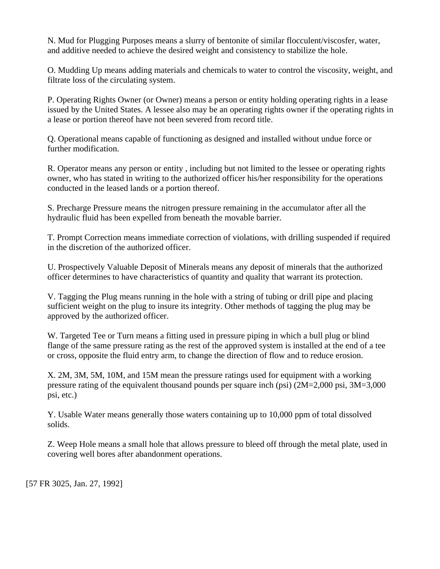N. Mud for Plugging Purposes means a slurry of bentonite of similar flocculent/viscosfer, water, and additive needed to achieve the desired weight and consistency to stabilize the hole.

O. Mudding Up means adding materials and chemicals to water to control the viscosity, weight, and filtrate loss of the circulating system.

P. Operating Rights Owner (or Owner) means a person or entity holding operating rights in a lease issued by the United States. A lessee also may be an operating rights owner if the operating rights in a lease or portion thereof have not been severed from record title.

Q. Operational means capable of functioning as designed and installed without undue force or further modification.

R. Operator means any person or entity , including but not limited to the lessee or operating rights owner, who has stated in writing to the authorized officer his/her responsibility for the operations conducted in the leased lands or a portion thereof.

S. Precharge Pressure means the nitrogen pressure remaining in the accumulator after all the hydraulic fluid has been expelled from beneath the movable barrier.

T. Prompt Correction means immediate correction of violations, with drilling suspended if required in the discretion of the authorized officer.

U. Prospectively Valuable Deposit of Minerals means any deposit of minerals that the authorized officer determines to have characteristics of quantity and quality that warrant its protection.

V. Tagging the Plug means running in the hole with a string of tubing or drill pipe and placing sufficient weight on the plug to insure its integrity. Other methods of tagging the plug may be approved by the authorized officer.

W. Targeted Tee or Turn means a fitting used in pressure piping in which a bull plug or blind flange of the same pressure rating as the rest of the approved system is installed at the end of a tee or cross, opposite the fluid entry arm, to change the direction of flow and to reduce erosion.

X. 2M, 3M, 5M, 10M, and 15M mean the pressure ratings used for equipment with a working pressure rating of the equivalent thousand pounds per square inch (psi) (2M=2,000 psi, 3M=3,000 psi, etc.)

Y. Usable Water means generally those waters containing up to 10,000 ppm of total dissolved solids.

Z. Weep Hole means a small hole that allows pressure to bleed off through the metal plate, used in covering well bores after abandonment operations.

[57 FR 3025, Jan. 27, 1992]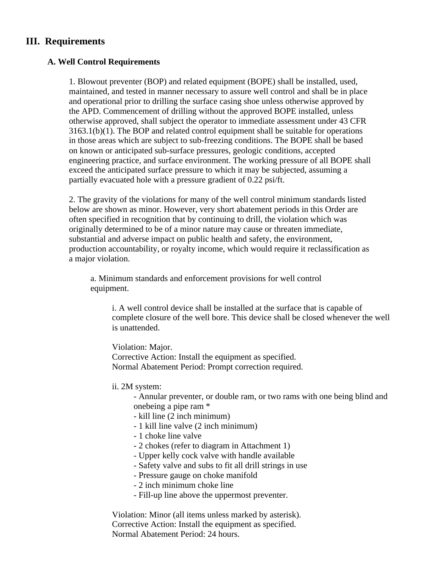# **III. Requirements**

### **A. Well Control Requirements**

1. Blowout preventer (BOP) and related equipment (BOPE) shall be installed, used, maintained, and tested in manner necessary to assure well control and shall be in place and operational prior to drilling the surface casing shoe unless otherwise approved by the APD. Commencement of drilling without the approved BOPE installed, unless otherwise approved, shall subject the operator to immediate assessment under 43 CFR 3163.1(b)(1). The BOP and related control equipment shall be suitable for operations in those areas which are subject to sub-freezing conditions. The BOPE shall be based on known or anticipated sub-surface pressures, geologic conditions, accepted engineering practice, and surface environment. The working pressure of all BOPE shall exceed the anticipated surface pressure to which it may be subjected, assuming a partially evacuated hole with a pressure gradient of 0.22 psi/ft.

2. The gravity of the violations for many of the well control minimum standards listed below are shown as minor. However, very short abatement periods in this Order are often specified in recognition that by continuing to drill, the violation which was originally determined to be of a minor nature may cause or threaten immediate, substantial and adverse impact on public health and safety, the environment, production accountability, or royalty income, which would require it reclassification as a major violation.

a. Minimum standards and enforcement provisions for well control equipment.

i. A well control device shall be installed at the surface that is capable of complete closure of the well bore. This device shall be closed whenever the well is unattended.

Violation: Major. Corrective Action: Install the equipment as specified. Normal Abatement Period: Prompt correction required.

ii. 2M system:

- Annular preventer, or double ram, or two rams with one being blind and onebeing a pipe ram \*

- kill line (2 inch minimum)
- 1 kill line valve (2 inch minimum)
- 1 choke line valve
- 2 chokes (refer to diagram in Attachment 1)
- Upper kelly cock valve with handle available
- Safety valve and subs to fit all drill strings in use
- Pressure gauge on choke manifold
- 2 inch minimum choke line
- Fill-up line above the uppermost preventer.

Violation: Minor (all items unless marked by asterisk). Corrective Action: Install the equipment as specified. Normal Abatement Period: 24 hours.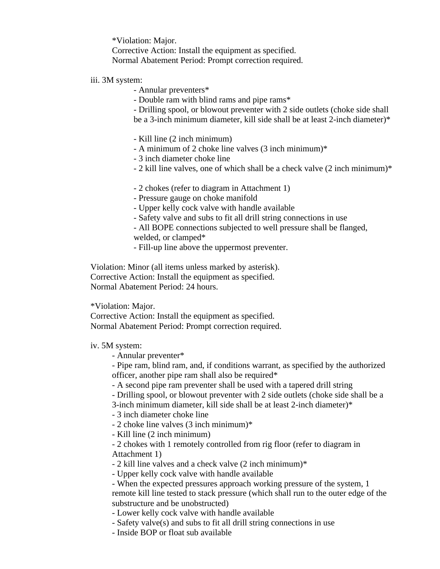\*Violation: Major. Corrective Action: Install the equipment as specified. Normal Abatement Period: Prompt correction required.

### iii. 3M system:

- Annular preventers\*
- Double ram with blind rams and pipe rams\*
- Drilling spool, or blowout preventer with 2 side outlets (choke side shall
- be a 3-inch minimum diameter, kill side shall be at least 2-inch diameter)\*
- Kill line (2 inch minimum)
- A minimum of 2 choke line valves (3 inch minimum)\*
- 3 inch diameter choke line
- 2 kill line valves, one of which shall be a check valve (2 inch minimum)\*
- 2 chokes (refer to diagram in Attachment 1)
- Pressure gauge on choke manifold
- Upper kelly cock valve with handle available
- Safety valve and subs to fit all drill string connections in use
- All BOPE connections subjected to well pressure shall be flanged, welded, or clamped\*
- Fill-up line above the uppermost preventer.

Violation: Minor (all items unless marked by asterisk). Corrective Action: Install the equipment as specified. Normal Abatement Period: 24 hours.

\*Violation: Major.

Corrective Action: Install the equipment as specified. Normal Abatement Period: Prompt correction required.

### iv. 5M system:

- Annular preventer\*

- Pipe ram, blind ram, and, if conditions warrant, as specified by the authorized officer, another pipe ram shall also be required\*

- A second pipe ram preventer shall be used with a tapered drill string
- Drilling spool, or blowout preventer with 2 side outlets (choke side shall be a
- 3-inch minimum diameter, kill side shall be at least 2-inch diameter)\*

- 3 inch diameter choke line

- 2 choke line valves (3 inch minimum)\*
- Kill line (2 inch minimum)

- 2 chokes with 1 remotely controlled from rig floor (refer to diagram in Attachment 1)

- 2 kill line valves and a check valve (2 inch minimum)\*

- Upper kelly cock valve with handle available

- When the expected pressures approach working pressure of the system, 1 remote kill line tested to stack pressure (which shall run to the outer edge of the substructure and be unobstructed)

- Lower kelly cock valve with handle available

- Safety valve(s) and subs to fit all drill string connections in use
- Inside BOP or float sub available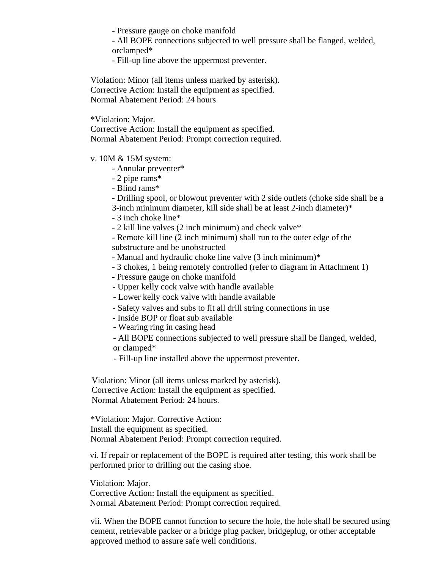- Pressure gauge on choke manifold

- All BOPE connections subjected to well pressure shall be flanged, welded, orclamped\*

- Fill-up line above the uppermost preventer.

Violation: Minor (all items unless marked by asterisk). Corrective Action: Install the equipment as specified. Normal Abatement Period: 24 hours

\*Violation: Major.

Corrective Action: Install the equipment as specified. Normal Abatement Period: Prompt correction required.

v. 10M & 15M system:

- Annular preventer\*
- 2 pipe rams\*
- Blind rams\*

- Drilling spool, or blowout preventer with 2 side outlets (choke side shall be a

- 3-inch minimum diameter, kill side shall be at least 2-inch diameter)\*
- 3 inch choke line\*

- 2 kill line valves (2 inch minimum) and check valve\*

- Remote kill line (2 inch minimum) shall run to the outer edge of the substructure and be unobstructed

- Manual and hydraulic choke line valve (3 inch minimum)\*
- 3 chokes, 1 being remotely controlled (refer to diagram in Attachment 1)
- Pressure gauge on choke manifold
- Upper kelly cock valve with handle available
- Lower kelly cock valve with handle available
- Safety valves and subs to fit all drill string connections in use
- Inside BOP or float sub available
- Wearing ring in casing head

- All BOPE connections subjected to well pressure shall be flanged, welded, or clamped\*

- Fill-up line installed above the uppermost preventer.

Violation: Minor (all items unless marked by asterisk). Corrective Action: Install the equipment as specified. Normal Abatement Period: 24 hours.

\*Violation: Major. Corrective Action: Install the equipment as specified. Normal Abatement Period: Prompt correction required.

vi. If repair or replacement of the BOPE is required after testing, this work shall be performed prior to drilling out the casing shoe.

Violation: Major.

Corrective Action: Install the equipment as specified. Normal Abatement Period: Prompt correction required.

vii. When the BOPE cannot function to secure the hole, the hole shall be secured using cement, retrievable packer or a bridge plug packer, bridgeplug, or other acceptable approved method to assure safe well conditions.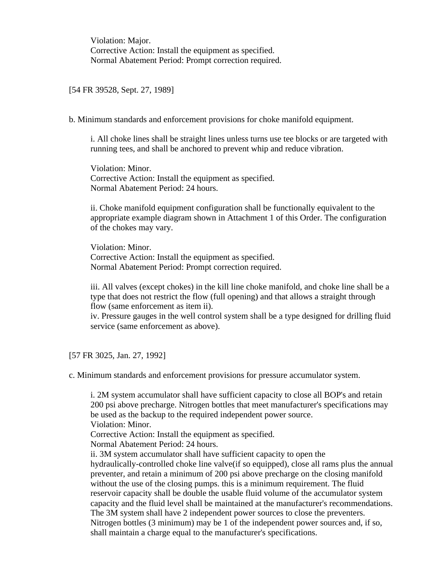Violation: Major. Corrective Action: Install the equipment as specified. Normal Abatement Period: Prompt correction required.

[54 FR 39528, Sept. 27, 1989]

b. Minimum standards and enforcement provisions for choke manifold equipment.

i. All choke lines shall be straight lines unless turns use tee blocks or are targeted with running tees, and shall be anchored to prevent whip and reduce vibration.

Violation: Minor. Corrective Action: Install the equipment as specified. Normal Abatement Period: 24 hours.

ii. Choke manifold equipment configuration shall be functionally equivalent to the appropriate example diagram shown in Attachment 1 of this Order. The configuration of the chokes may vary.

Violation: Minor. Corrective Action: Install the equipment as specified. Normal Abatement Period: Prompt correction required.

iii. All valves (except chokes) in the kill line choke manifold, and choke line shall be a type that does not restrict the flow (full opening) and that allows a straight through flow (same enforcement as item ii).

iv. Pressure gauges in the well control system shall be a type designed for drilling fluid service (same enforcement as above).

[57 FR 3025, Jan. 27, 1992]

c. Minimum standards and enforcement provisions for pressure accumulator system.

i. 2M system accumulator shall have sufficient capacity to close all BOP's and retain 200 psi above precharge. Nitrogen bottles that meet manufacturer's specifications may be used as the backup to the required independent power source. Violation: Minor. Corrective Action: Install the equipment as specified. Normal Abatement Period: 24 hours. ii. 3M system accumulator shall have sufficient capacity to open the hydraulically-controlled choke line valve(if so equipped), close all rams plus the annual preventer, and retain a minimum of 200 psi above precharge on the closing manifold without the use of the closing pumps. this is a minimum requirement. The fluid reservoir capacity shall be double the usable fluid volume of the accumulator system capacity and the fluid level shall be maintained at the manufacturer's recommendations. The 3M system shall have 2 independent power sources to close the preventers. Nitrogen bottles (3 minimum) may be 1 of the independent power sources and, if so, shall maintain a charge equal to the manufacturer's specifications.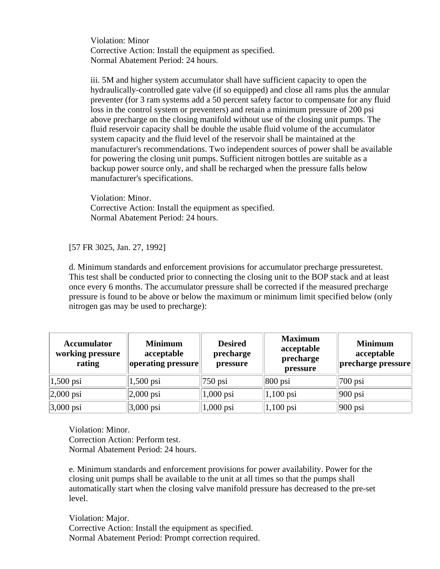Violation: Minor Corrective Action: Install the equipment as specified. Normal Abatement Period: 24 hours.

iii. 5M and higher system accumulator shall have sufficient capacity to open the hydraulically-controlled gate valve (if so equipped) and close all rams plus the annular preventer (for 3 ram systems add a 50 percent safety factor to compensate for any fluid loss in the control system or preventers) and retain a minimum pressure of 200 psi above precharge on the closing manifold without use of the closing unit pumps. The fluid reservoir capacity shall be double the usable fluid volume of the accumulator system capacity and the fluid level of the reservoir shall be maintained at the manufacturer's recommendations. Two independent sources of power shall be available for powering the closing unit pumps. Sufficient nitrogen bottles are suitable as a backup power source only, and shall be recharged when the pressure falls below manufacturer's specifications.

Violation: Minor. Corrective Action: Install the equipment as specified. Normal Abatement Period: 24 hours.

[57 FR 3025, Jan. 27, 1992]

d. Minimum standards and enforcement provisions for accumulator precharge pressuretest. This test shall be conducted prior to connecting the closing unit to the BOP stack and at least once every 6 months. The accumulator pressure shall be corrected if the measured precharge pressure is found to be above or below the maximum or minimum limit specified below (only nitrogen gas may be used to precharge):

| <b>Accumulator</b><br>working pressure<br>rating | <b>Minimum</b><br>acceptable<br> operating pressure | <b>Desired</b><br>precharge<br>pressure | <b>Maximum</b><br>acceptable<br>precharge<br>pressure | <b>Minimum</b><br>acceptable<br>precharge pressure |
|--------------------------------------------------|-----------------------------------------------------|-----------------------------------------|-------------------------------------------------------|----------------------------------------------------|
| $1,500$ psi                                      | $1,500 \text{ psi}$                                 | $750$ psi                               | $ 800 \text{ psi} $                                   | $ 700 \text{ psi} $                                |
| $ 2,000 \text{ psi} $                            | $ 2,000 \text{ psi} $                               | $1,000$ psi                             | $ 1,100 \text{ psi} $                                 | $ 900 \text{ psi} $                                |
| $3,000$ psi                                      | $3,000$ psi                                         | $1,000$ psi                             | $ 1,100 \text{ psi} $                                 | $ 900 \text{ psi} $                                |

Violation: Minor. Correction Action: Perform test. Normal Abatement Period: 24 hours.

e. Minimum standards and enforcement provisions for power availability. Power for the closing unit pumps shall be available to the unit at all times so that the pumps shall automatically start when the closing valve manifold pressure has decreased to the pre-set level.

Violation: Major. Corrective Action: Install the equipment as specified. Normal Abatement Period: Prompt correction required.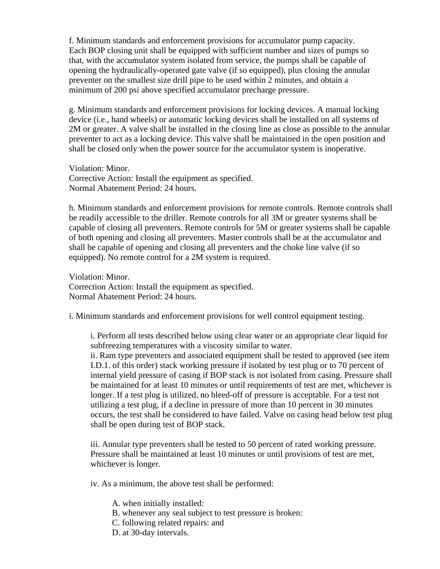f. Minimum standards and enforcement provisions for accumulator pump capacity. Each BOP closing unit shall be equipped with sufficient number and sizes of pumps so that, with the accumulator system isolated from service, the pumps shall be capable of opening the hydraulically-operated gate valve (if so equipped), plus closing the annular preventer on the smallest size drill pipe to be used within 2 minutes, and obtain a minimum of 200 psi above specified accumulator precharge pressure.

g. Minimum standards and enforcement provisions for locking devices. A manual locking device (i.e., hand wheels) or automatic locking devices shall be installed on all systems of 2M or greater. A valve shall be installed in the closing line as close as possible to the annular preventer to act as a locking device. This valve shall be maintained in the open position and shall be closed only when the power source for the accumulator system is inoperative.

Violation: Minor. Corrective Action: Install the equipment as specified. Normal Abatement Period: 24 hours.

h. Minimum standards and enforcement provisions for remote controls. Remote controls shall be readily accessible to the driller. Remote controls for all 3M or greater systems shall be capable of closing all preventers. Remote controls for 5M or greater systems shall be capable of both opening and closing all preventers. Master controls shall be at the accumulator and shall be capable of opening and closing all preventers and the choke line valve (if so equipped). No remote control for a 2M system is required.

Violation: Minor. Correction Action: Install the equipment as specified. Normal Abatement Period: 24 hours.

i. Minimum standards and enforcement provisions for well control equipment testing.

i. Perform all tests described below using clear water or an appropriate clear liquid for subfreezing temperatures with a viscosity similar to water. ii. Ram type preventers and associated equipment shall be tested to approved (see item I.D.1. of this order) stack working pressure if isolated by test plug or to 70 percent of internal yield pressure of casing if BOP stack is not isolated from casing. Pressure shall be maintained for at least 10 minutes or until requirements of test are met, whichever is longer. If a test plug is utilized, no bleed-off of pressure is acceptable. For a test not utilizing a test plug, if a decline in pressure of more than 10 percent in 30 minutes occurs, the test shall be considered to have failed. Valve on casing head below test plug shall be open during test of BOP stack.

iii. Annular type preventers shall be tested to 50 percent of rated working pressure. Pressure shall be maintained at least 10 minutes or until provisions of test are met, whichever is longer.

iv. As a minimum, the above test shall be performed:

- A. when initially installed:
- B. whenever any seal subject to test pressure is broken:
- C. following related repairs: and
- D. at 30-day intervals.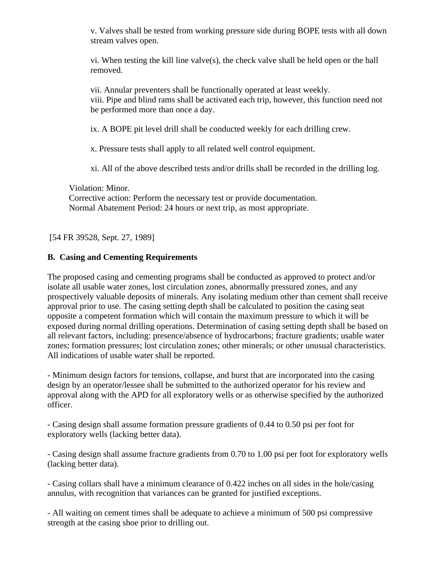v. Valves shall be tested from working pressure side during BOPE tests with all down stream valves open.

vi. When testing the kill line valve(s), the check valve shall be held open or the ball removed.

vii. Annular preventers shall be functionally operated at least weekly. viii. Pipe and blind rams shall be activated each trip, however, this function need not be performed more than once a day.

ix. A BOPE pit level drill shall be conducted weekly for each drilling crew.

x. Pressure tests shall apply to all related well control equipment.

xi. All of the above described tests and/or drills shall be recorded in the drilling log.

Violation: Minor. Corrective action: Perform the necessary test or provide documentation. Normal Abatement Period: 24 hours or next trip, as most appropriate.

[54 FR 39528, Sept. 27, 1989]

# **B. Casing and Cementing Requirements**

The proposed casing and cementing programs shall be conducted as approved to protect and/or isolate all usable water zones, lost circulation zones, abnormally pressured zones, and any prospectively valuable deposits of minerals. Any isolating medium other than cement shall receive approval prior to use. The casing setting depth shall be calculated to position the casing seat opposite a competent formation which will contain the maximum pressure to which it will be exposed during normal drilling operations. Determination of casing setting depth shall be based on all relevant factors, including: presence/absence of hydrocarbons; fracture gradients; usable water zones; formation pressures; lost circulation zones; other minerals; or other unusual characteristics. All indications of usable water shall be reported.

- Minimum design factors for tensions, collapse, and burst that are incorporated into the casing design by an operator/lessee shall be submitted to the authorized operator for his review and approval along with the APD for all exploratory wells or as otherwise specified by the authorized officer.

- Casing design shall assume formation pressure gradients of 0.44 to 0.50 psi per foot for exploratory wells (lacking better data).

- Casing design shall assume fracture gradients from 0.70 to 1.00 psi per foot for exploratory wells (lacking better data).

- Casing collars shall have a minimum clearance of 0.422 inches on all sides in the hole/casing annulus, with recognition that variances can be granted for justified exceptions.

- All waiting on cement times shall be adequate to achieve a minimum of 500 psi compressive strength at the casing shoe prior to drilling out.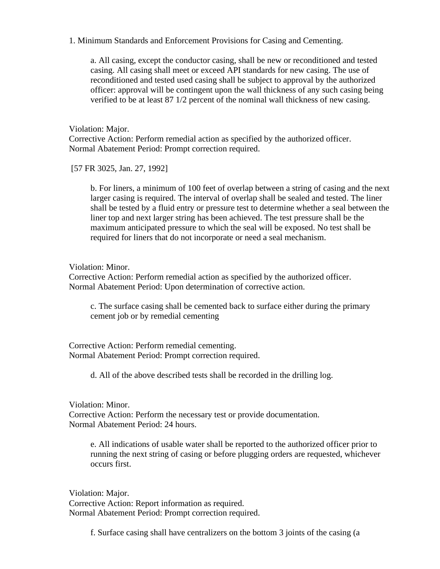### 1. Minimum Standards and Enforcement Provisions for Casing and Cementing.

a. All casing, except the conductor casing, shall be new or reconditioned and tested casing. All casing shall meet or exceed API standards for new casing. The use of reconditioned and tested used casing shall be subject to approval by the authorized officer: approval will be contingent upon the wall thickness of any such casing being verified to be at least 87 1/2 percent of the nominal wall thickness of new casing.

Violation: Major. Corrective Action: Perform remedial action as specified by the authorized officer. Normal Abatement Period: Prompt correction required.

[57 FR 3025, Jan. 27, 1992]

b. For liners, a minimum of 100 feet of overlap between a string of casing and the next larger casing is required. The interval of overlap shall be sealed and tested. The liner shall be tested by a fluid entry or pressure test to determine whether a seal between the liner top and next larger string has been achieved. The test pressure shall be the maximum anticipated pressure to which the seal will be exposed. No test shall be required for liners that do not incorporate or need a seal mechanism.

### Violation: Minor.

Corrective Action: Perform remedial action as specified by the authorized officer. Normal Abatement Period: Upon determination of corrective action.

c. The surface casing shall be cemented back to surface either during the primary cement job or by remedial cementing

Corrective Action: Perform remedial cementing. Normal Abatement Period: Prompt correction required.

d. All of the above described tests shall be recorded in the drilling log.

Violation: Minor. Corrective Action: Perform the necessary test or provide documentation. Normal Abatement Period: 24 hours.

e. All indications of usable water shall be reported to the authorized officer prior to running the next string of casing or before plugging orders are requested, whichever occurs first.

Violation: Major. Corrective Action: Report information as required. Normal Abatement Period: Prompt correction required.

f. Surface casing shall have centralizers on the bottom 3 joints of the casing (a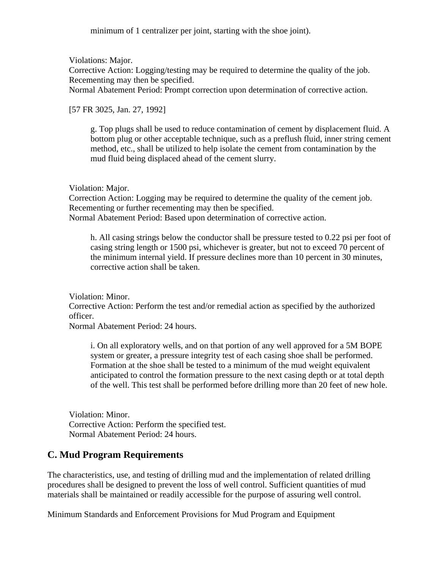minimum of 1 centralizer per joint, starting with the shoe joint).

Violations: Major.

Corrective Action: Logging/testing may be required to determine the quality of the job. Recementing may then be specified.

Normal Abatement Period: Prompt correction upon determination of corrective action.

[57 FR 3025, Jan. 27, 1992]

g. Top plugs shall be used to reduce contamination of cement by displacement fluid. A bottom plug or other acceptable technique, such as a preflush fluid, inner string cement method, etc., shall be utilized to help isolate the cement from contamination by the mud fluid being displaced ahead of the cement slurry.

Violation: Major.

Correction Action: Logging may be required to determine the quality of the cement job. Recementing or further recementing may then be specified. Normal Abatement Period: Based upon determination of corrective action.

h. All casing strings below the conductor shall be pressure tested to 0.22 psi per foot of casing string length or 1500 psi, whichever is greater, but not to exceed 70 percent of the minimum internal yield. If pressure declines more than 10 percent in 30 minutes, corrective action shall be taken.

Violation: Minor. Corrective Action: Perform the test and/or remedial action as specified by the authorized officer. Normal Abatement Period: 24 hours.

i. On all exploratory wells, and on that portion of any well approved for a 5M BOPE system or greater, a pressure integrity test of each casing shoe shall be performed. Formation at the shoe shall be tested to a minimum of the mud weight equivalent anticipated to control the formation pressure to the next casing depth or at total depth of the well. This test shall be performed before drilling more than 20 feet of new hole.

Violation: Minor. Corrective Action: Perform the specified test. Normal Abatement Period: 24 hours.

# **C. Mud Program Requirements**

The characteristics, use, and testing of drilling mud and the implementation of related drilling procedures shall be designed to prevent the loss of well control. Sufficient quantities of mud materials shall be maintained or readily accessible for the purpose of assuring well control.

Minimum Standards and Enforcement Provisions for Mud Program and Equipment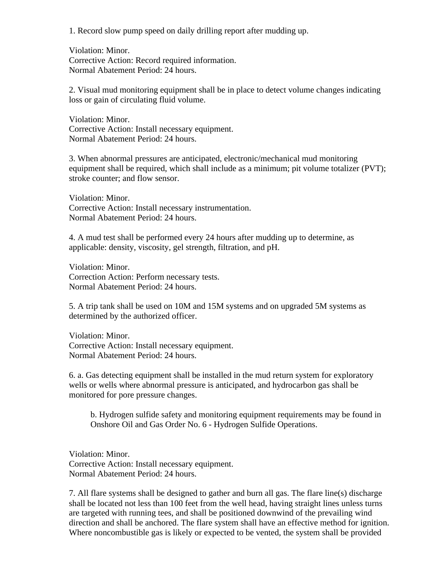1. Record slow pump speed on daily drilling report after mudding up.

Violation: Minor. Corrective Action: Record required information. Normal Abatement Period: 24 hours.

2. Visual mud monitoring equipment shall be in place to detect volume changes indicating loss or gain of circulating fluid volume.

Violation: Minor. Corrective Action: Install necessary equipment. Normal Abatement Period: 24 hours.

3. When abnormal pressures are anticipated, electronic/mechanical mud monitoring equipment shall be required, which shall include as a minimum; pit volume totalizer (PVT); stroke counter; and flow sensor.

Violation: Minor. Corrective Action: Install necessary instrumentation. Normal Abatement Period: 24 hours.

4. A mud test shall be performed every 24 hours after mudding up to determine, as applicable: density, viscosity, gel strength, filtration, and pH.

Violation: Minor. Correction Action: Perform necessary tests. Normal Abatement Period: 24 hours.

5. A trip tank shall be used on 10M and 15M systems and on upgraded 5M systems as determined by the authorized officer.

Violation: Minor. Corrective Action: Install necessary equipment. Normal Abatement Period: 24 hours.

6. a. Gas detecting equipment shall be installed in the mud return system for exploratory wells or wells where abnormal pressure is anticipated, and hydrocarbon gas shall be monitored for pore pressure changes.

b. Hydrogen sulfide safety and monitoring equipment requirements may be found in Onshore Oil and Gas Order No. 6 - Hydrogen Sulfide Operations.

Violation: Minor. Corrective Action: Install necessary equipment. Normal Abatement Period: 24 hours.

7. All flare systems shall be designed to gather and burn all gas. The flare line(s) discharge shall be located not less than 100 feet from the well head, having straight lines unless turns are targeted with running tees, and shall be positioned downwind of the prevailing wind direction and shall be anchored. The flare system shall have an effective method for ignition. Where noncombustible gas is likely or expected to be vented, the system shall be provided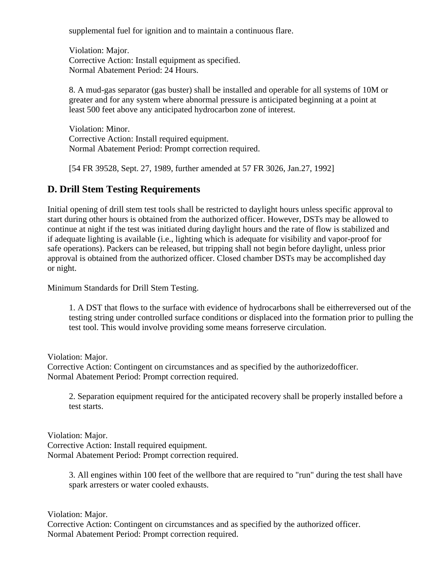supplemental fuel for ignition and to maintain a continuous flare.

Violation: Major. Corrective Action: Install equipment as specified. Normal Abatement Period: 24 Hours.

8. A mud-gas separator (gas buster) shall be installed and operable for all systems of 10M or greater and for any system where abnormal pressure is anticipated beginning at a point at least 500 feet above any anticipated hydrocarbon zone of interest.

Violation: Minor. Corrective Action: Install required equipment. Normal Abatement Period: Prompt correction required.

[54 FR 39528, Sept. 27, 1989, further amended at 57 FR 3026, Jan.27, 1992]

# **D. Drill Stem Testing Requirements**

Initial opening of drill stem test tools shall be restricted to daylight hours unless specific approval to start during other hours is obtained from the authorized officer. However, DSTs may be allowed to continue at night if the test was initiated during daylight hours and the rate of flow is stabilized and if adequate lighting is available (i.e., lighting which is adequate for visibility and vapor-proof for safe operations). Packers can be released, but tripping shall not begin before daylight, unless prior approval is obtained from the authorized officer. Closed chamber DSTs may be accomplished day or night.

Minimum Standards for Drill Stem Testing.

1. A DST that flows to the surface with evidence of hydrocarbons shall be eitherreversed out of the testing string under controlled surface conditions or displaced into the formation prior to pulling the test tool. This would involve providing some means forreserve circulation.

Violation: Major.

Corrective Action: Contingent on circumstances and as specified by the authorizedofficer. Normal Abatement Period: Prompt correction required.

2. Separation equipment required for the anticipated recovery shall be properly installed before a test starts.

Violation: Major. Corrective Action: Install required equipment. Normal Abatement Period: Prompt correction required.

> 3. All engines within 100 feet of the wellbore that are required to "run" during the test shall have spark arresters or water cooled exhausts.

Violation: Major. Corrective Action: Contingent on circumstances and as specified by the authorized officer. Normal Abatement Period: Prompt correction required.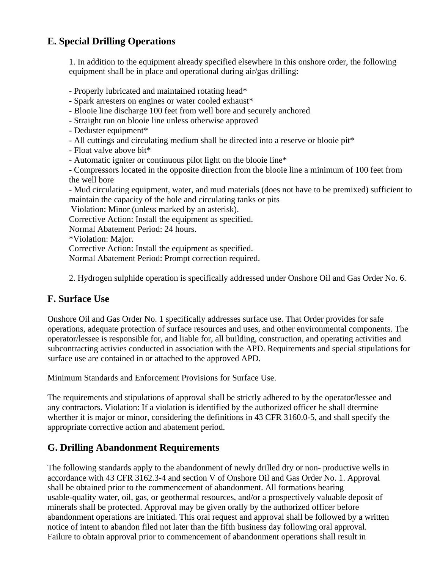# **E. Special Drilling Operations**

1. In addition to the equipment already specified elsewhere in this onshore order, the following equipment shall be in place and operational during air/gas drilling:

- Properly lubricated and maintained rotating head\*

- Spark arresters on engines or water cooled exhaust\*

- Blooie line discharge 100 feet from well bore and securely anchored

- Straight run on blooie line unless otherwise approved

- Deduster equipment\*

- All cuttings and circulating medium shall be directed into a reserve or blooie pit\*

- Float valve above bit\*

- Automatic igniter or continuous pilot light on the blooie line\*

- Compressors located in the opposite direction from the blooie line a minimum of 100 feet from the well bore

- Mud circulating equipment, water, and mud materials (does not have to be premixed) sufficient to maintain the capacity of the hole and circulating tanks or pits

Violation: Minor (unless marked by an asterisk).

Corrective Action: Install the equipment as specified.

Normal Abatement Period: 24 hours.

\*Violation: Major.

Corrective Action: Install the equipment as specified.

Normal Abatement Period: Prompt correction required.

2. Hydrogen sulphide operation is specifically addressed under Onshore Oil and Gas Order No. 6.

# **F. Surface Use**

Onshore Oil and Gas Order No. 1 specifically addresses surface use. That Order provides for safe operations, adequate protection of surface resources and uses, and other environmental components. The operator/lessee is responsible for, and liable for, all building, construction, and operating activities and subcontracting activies conducted in association with the APD. Requirements and special stipulations for surface use are contained in or attached to the approved APD.

Minimum Standards and Enforcement Provisions for Surface Use.

The requirements and stipulations of approval shall be strictly adhered to by the operator/lessee and any contractors. Violation: If a violation is identified by the authorized officer he shall dtermine wherther it is major or minor, considering the definitions in 43 CFR 3160.0-5, and shall specify the appropriate corrective action and abatement period.

# **G. Drilling Abandonment Requirements**

The following standards apply to the abandonment of newly drilled dry or non- productive wells in accordance with 43 CFR 3162.3-4 and section V of Onshore Oil and Gas Order No. 1. Approval shall be obtained prior to the commencement of abandonment. All formations bearing usable-quality water, oil, gas, or geothermal resources, and/or a prospectively valuable deposit of minerals shall be protected. Approval may be given orally by the authorized officer before abandonment operations are initiated. This oral request and approval shall be followed by a written notice of intent to abandon filed not later than the fifth business day following oral approval. Failure to obtain approval prior to commencement of abandonment operations shall result in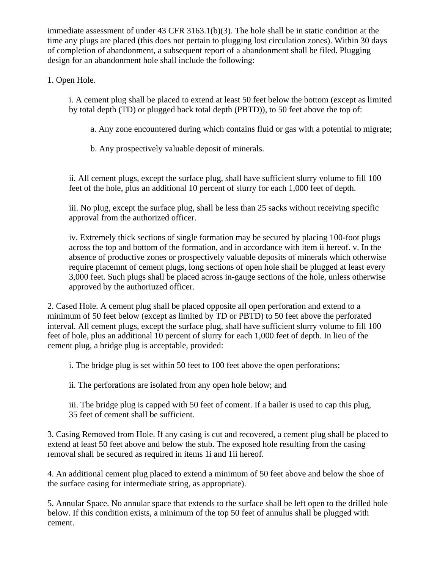immediate assessment of under 43 CFR 3163.1(b)(3). The hole shall be in static condition at the time any plugs are placed (this does not pertain to plugging lost circulation zones). Within 30 days of completion of abandonment, a subsequent report of a abandonment shall be filed. Plugging design for an abandonment hole shall include the following:

# 1. Open Hole.

i. A cement plug shall be placed to extend at least 50 feet below the bottom (except as limited by total depth (TD) or plugged back total depth (PBTD)), to 50 feet above the top of:

a. Any zone encountered during which contains fluid or gas with a potential to migrate;

b. Any prospectively valuable deposit of minerals.

ii. All cement plugs, except the surface plug, shall have sufficient slurry volume to fill 100 feet of the hole, plus an additional 10 percent of slurry for each 1,000 feet of depth.

iii. No plug, except the surface plug, shall be less than 25 sacks without receiving specific approval from the authorized officer.

iv. Extremely thick sections of single formation may be secured by placing 100-foot plugs across the top and bottom of the formation, and in accordance with item ii hereof. v. In the absence of productive zones or prospectively valuable deposits of minerals which otherwise require placemnt of cement plugs, long sections of open hole shall be plugged at least every 3,000 feet. Such plugs shall be placed across in-gauge sections of the hole, unless otherwise approved by the authoriuzed officer.

2. Cased Hole. A cement plug shall be placed opposite all open perforation and extend to a minimum of 50 feet below (except as limited by TD or PBTD) to 50 feet above the perforated interval. All cement plugs, except the surface plug, shall have sufficient slurry volume to fill 100 feet of hole, plus an additional 10 percent of slurry for each 1,000 feet of depth. In lieu of the cement plug, a bridge plug is acceptable, provided:

i. The bridge plug is set within 50 feet to 100 feet above the open perforations;

ii. The perforations are isolated from any open hole below; and

iii. The bridge plug is capped with 50 feet of coment. If a bailer is used to cap this plug, 35 feet of cement shall be sufficient.

3. Casing Removed from Hole. If any casing is cut and recovered, a cement plug shall be placed to extend at least 50 feet above and below the stub. The exposed hole resulting from the casing removal shall be secured as required in items 1i and 1ii hereof.

4. An additional cement plug placed to extend a minimum of 50 feet above and below the shoe of the surface casing for intermediate string, as appropriate).

5. Annular Space. No annular space that extends to the surface shall be left open to the drilled hole below. If this condition exists, a minimum of the top 50 feet of annulus shall be plugged with cement.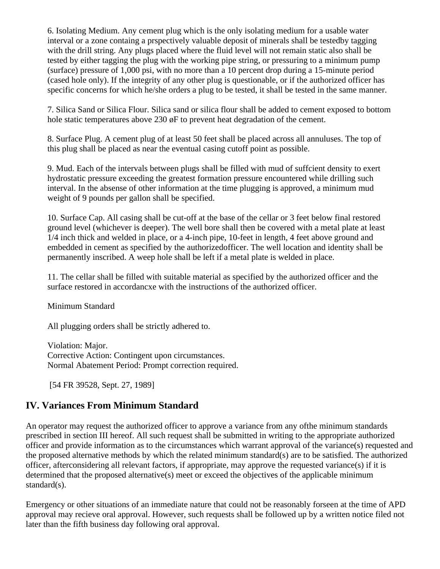6. Isolating Medium. Any cement plug which is the only isolating medium for a usable water interval or a zone containg a prspectively valuable deposit of minerals shall be testedby tagging with the drill string. Any plugs placed where the fluid level will not remain static also shall be tested by either tagging the plug with the working pipe string, or pressuring to a minimum pump (surface) pressure of 1,000 psi, with no more than a 10 percent drop during a 15-minute period (cased hole only). If the integrity of any other plug is questionable, or if the authorized officer has specific concerns for which he/she orders a plug to be tested, it shall be tested in the same manner.

7. Silica Sand or Silica Flour. Silica sand or silica flour shall be added to cement exposed to bottom hole static temperatures above 230  $\phi$ F to prevent heat degradation of the cement.

8. Surface Plug. A cement plug of at least 50 feet shall be placed across all annuluses. The top of this plug shall be placed as near the eventual casing cutoff point as possible.

9. Mud. Each of the intervals between plugs shall be filled with mud of suffcient density to exert hydrostatic pressure exceeding the greatest formation pressure encountered while drilling such interval. In the absense of other information at the time plugging is approved, a minimum mud weight of 9 pounds per gallon shall be specified.

10. Surface Cap. All casing shall be cut-off at the base of the cellar or 3 feet below final restored ground level (whichever is deeper). The well bore shall then be covered with a metal plate at least 1/4 inch thick and welded in place, or a 4-inch pipe, 10-feet in length, 4 feet above ground and embedded in cement as specified by the authorizedofficer. The well location and identity shall be permanently inscribed. A weep hole shall be left if a metal plate is welded in place.

11. The cellar shall be filled with suitable material as specified by the authorized officer and the surface restored in accordancxe with the instructions of the authorized officer.

Minimum Standard

All plugging orders shall be strictly adhered to.

Violation: Major. Corrective Action: Contingent upon circumstances. Normal Abatement Period: Prompt correction required.

[54 FR 39528, Sept. 27, 1989]

# **IV. Variances From Minimum Standard**

An operator may request the authorized officer to approve a variance from any ofthe minimum standards prescribed in section III hereof. All such request shall be submitted in writing to the appropriate authorized officer and provide information as to the circumstances which warrant approval of the variance(s) requested and the proposed alternative methods by which the related minimum standard(s) are to be satisfied. The authorized officer, afterconsidering all relevant factors, if appropriate, may approve the requested variance(s) if it is determined that the proposed alternative(s) meet or exceed the objectives of the applicable minimum standard(s).

Emergency or other situations of an immediate nature that could not be reasonably forseen at the time of APD approval may recieve oral approval. However, such requests shall be followed up by a written notice filed not later than the fifth business day following oral approval.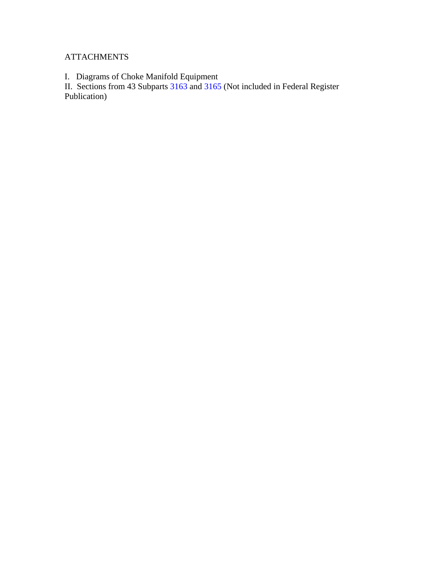# **ATTACHMENTS**

I. Diagrams of Choke Manifold Equipment

II. Sections from 43 Subparts [3163](http://www.mt.blm.gov/oilgas/policy/3163.pdf) and 3165 (Not included in Federal Register Publication)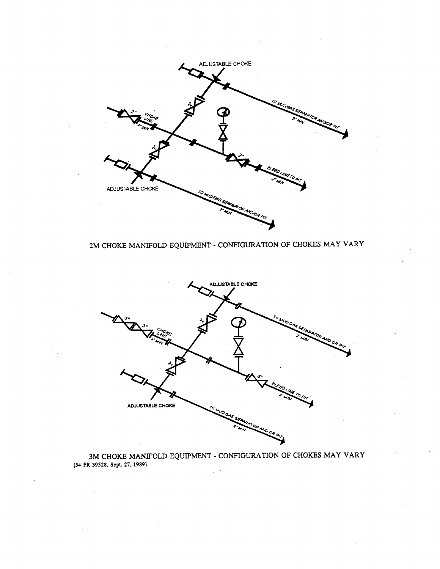

# 2M CHOKE MANIFOLD EQUIPMENT - CONFIGURATION OF CHOKES MAY VARY



3M CHOKE MANIFOLD EQUIPMENT - CONFIGURATION OF CHOKES MAY VARY  $\,$  [54 FR 39528, Sept. 27, 1989]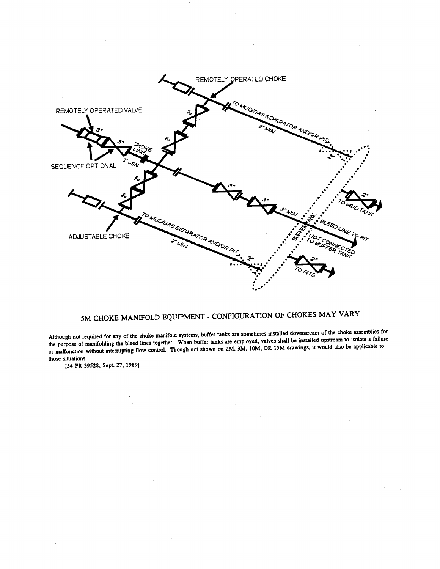

# 5M CHOKE MANIFOLD EQUIPMENT - CONFIGURATION OF CHOKES MAY VARY

Although not required for any of the choke manifold systems, buffer tanks are sometimes installed downstream of the choke assemblies for the purpose of manifolding the bleed lines together. When buffer tanks are employed, valves shall be installed upstream to isolate a failure or malfunction without interrupting flow control. Though not shown on 2M, 3M, 10M, OR 15M drawings, it would also be applicable to those situations.

[54 FR 39528, Sept. 27, 1989]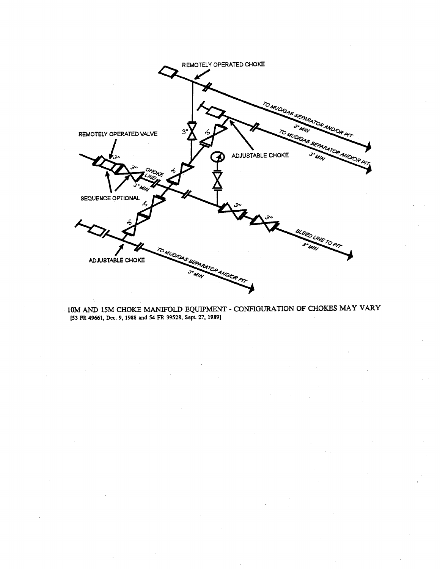

10M AND 15M CHOKE MANIFOLD EQUIPMENT - CONFIGURATION OF CHOKES MAY VARY [53 FR 49661, Dec. 9, 1988 and 54 FR 39528, Sept. 27, 1989]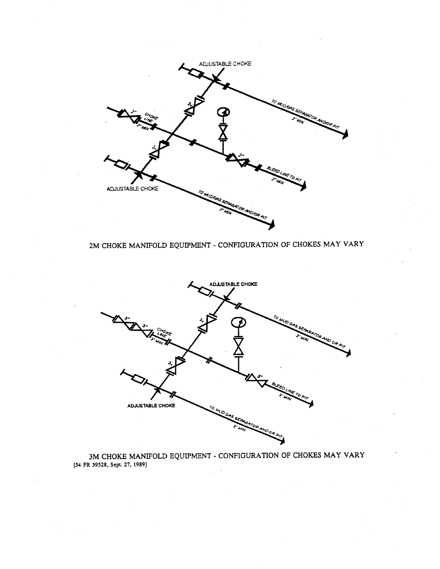

# 2M CHOKE MANIFOLD EQUIPMENT - CONFIGURATION OF CHOKES MAY VARY



3M CHOKE MANIFOLD EQUIPMENT - CONFIGURATION OF CHOKES MAY VARY  $\,$  [54 FR 39528, Sept. 27, 1989]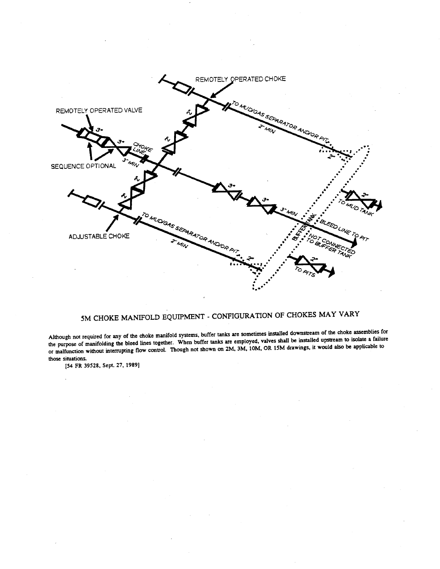

# 5M CHOKE MANIFOLD EQUIPMENT - CONFIGURATION OF CHOKES MAY VARY

Although not required for any of the choke manifold systems, buffer tanks are sometimes installed downstream of the choke assemblies for the purpose of manifolding the bleed lines together. When buffer tanks are employed, valves shall be installed upstream to isolate a failure or malfunction without interrupting flow control. Though not shown on 2M, 3M, 10M, OR 15M drawings, it would also be applicable to those situations.

[54 FR 39528, Sept. 27, 1989]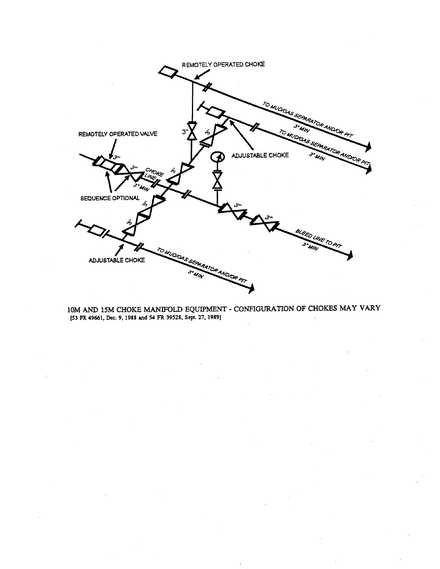

10M AND 15M CHOKE MANIFOLD EQUIPMENT - CONFIGURATION OF CHOKES MAY VARY [53 FR 49661, Dec. 9, 1988 and 54 FR 39528, Sept. 27, 1989]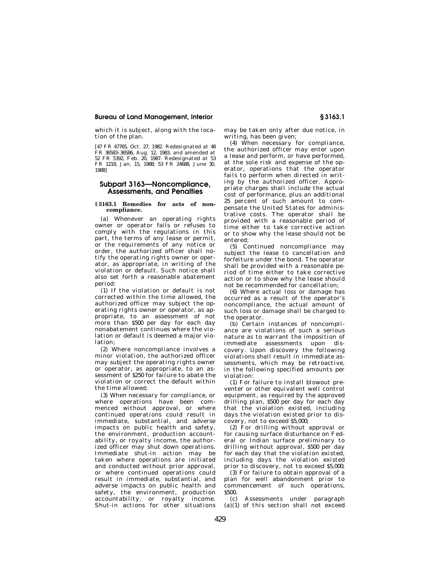#### **Bureau of Land Management, Interior § 3163.1**

which it is subject, along with the location of the plan.

[47 FR 47765, Oct. 27, 1982. Redesignated at 48 FR 36583–36586, Aug. 12, 1983, and amended at 52 FR 5392, Feb. 20, 1987. Redesignated at 53 FR 1218, Jan. 15, 1988; 53 FR 24688, June 30, 1988]

#### **Subpart 3163—Noncompliance, Assessments, and Penalties**

#### **§ 3163.1 Remedies for acts of noncompliance.**

(a) Whenever an operating rights owner or operator fails or refuses to comply with the regulations in this part, the terms of any lease or permit, or the requirements of any notice or order, the authorized officer shall notify the operating rights owner or operator, as appropriate, in writing of the violation or default. Such notice shall also set forth a reasonable abatement period:

(1) If the violation or default is not corrected within the time allowed, the authorized officer may subject the operating rights owner or operator, as appropriate, to an assessment of not more than \$500 per day for each day nonabatement continues where the violation or default is deemed a major violation;

(2) Where noncompliance involves a minor violation, the authorized officer may subject the operating rights owner or operator, as appropriate, to an assessment of \$250 for failure to abate the violation or correct the default within the time allowed;

(3) When necessary for compliance, or where operations have been commenced without approval, or where continued operations could result in immediate, substantial, and adverse impacts on public health and safety, the environment, production accountability, or royalty income, the authorized officer may shut down operations. Immediate shut-in action may be taken where operations are initiated and conducted without prior approval, or where continued operations could result in immediate, substantial, and adverse impacts on public health and safety, the environment, production accountability, or royalty income. Shut-in actions for other situations

may be taken only after due notice, in writing, has been given;

(4) When necessary for compliance, the authorized officer may enter upon a lease and perform, or have performed, at the sole risk and expense of the operator, operations that the operator fails to perform when directed in writing by the authorized officer. Appropriate charges shall include the actual cost of performance, plus an additional 25 percent of such amount to compensate the United States for administrative costs. The operator shall be provided with a reasonable period of time either to take corrective action or to show why the lease should not be entered;

(5) Continued noncompliance may subject the lease to cancellation and forfeiture under the bond. The operator shall be provided with a reasonable period of time either to take corrective action or to show why the lease should not be recommended for cancellation;

(6) Where actual loss or damage has occurred as a result of the operator's noncompliance, the actual amount of such loss or damage shall be charged to the operator.

(b) Certain instances of noncompliance are violations of such a serious nature as to warrant the imposition of immediate assessments upon discovery. Upon discovery the following violations shall result in immediate assessments, which may be retroactive, in the following specified amounts per violation:

(1) For failure to install blowout preventer or other equivalent well control equipment, as required by the approved drilling plan, \$500 per day for each day that the violation existed, including days the violation existed prior to discovery, not to exceed \$5,000;

(2) For drilling without approval or for causing surface disturbance on Federal or Indian surface preliminary to drilling without approval, \$500 per day for each day that the violation existed, including days the violation existed prior to discovery, not to exceed \$5,000;

(3) For failure to obtain approval of a plan for well abandonment prior to commencement of such operations, \$500

(c) Assessments under paragraph  $(a)(1)$  of this section shall not exceed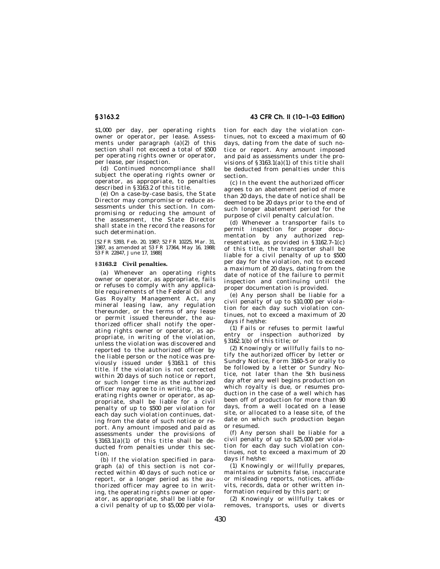\$1,000 per day, per operating rights owner or operator, per lease. Assessments under paragraph (a)(2) of this section shall not exceed a total of \$500 per operating rights owner or operator, per lease, per inspection.

(d) Continued noncompliance shall subject the operating rights owner or operator, as appropriate, to penalties described in §3163.2 of this title.

(e) On a case-by-case basis, the State Director may compromise or reduce assessments under this section. In compromising or reducing the amount of the assessment, the State Director shall state in the record the reasons for such determination.

[52 FR 5393, Feb. 20, 1987; 52 FR 10225, Mar. 31, 1987, as amended at 53 FR 17364, May 16, 1988; 53 FR 22847, June 17, 1988]

#### **§ 3163.2 Civil penalties.**

(a) Whenever an operating rights owner or operator, as appropriate, fails or refuses to comply with any applicable requirements of the Federal Oil and Gas Royalty Management Act, any mineral leasing law, any regulation thereunder, or the terms of any lease or permit issued thereunder, the authorized officer shall notify the operating rights owner or operator, as appropriate, in writing of the violation, unless the violation was discovered and reported to the authorized officer by the liable person or the notice was previously issued under §3163.1 of this title. If the violation is not corrected within 20 days of such notice or report, or such longer time as the authorized officer may agree to in writing, the operating rights owner or operator, as appropriate, shall be liable for a civil penalty of up to \$500 per violation for each day such violation continues, dating from the date of such notice or report. Any amount imposed and paid as assessments under the provisions of  $§3163.1(a)(1)$  of this title shall be deducted from penalties under this section.

(b) If the violation specified in paragraph (a) of this section is not corrected within 40 days of such notice or report, or a longer period as the authorized officer may agree to in writing, the operating rights owner or operator, as appropriate, shall be liable for a civil penalty of up to \$5,000 per viola-

**§ 3163.2 43 CFR Ch. II (10–1–03 Edition)**

tion for each day the violation continues, not to exceed a maximum of 60 days, dating from the date of such notice or report. Any amount imposed and paid as assessments under the provisions of §3163.1(a)(1) of this title shall be deducted from penalties under this section.

(c) In the event the authorized officer agrees to an abatement period of more than 20 days, the date of notice shall be deemed to be 20 days prior to the end of such longer abatement period for the purpose of civil penalty calculation.

(d) Whenever a transporter fails to permit inspection for proper documentation by any authorized representative, as provided in  $§3162.7-1(c)$ of this title, the transporter shall be liable for a civil penalty of up to \$500 per day for the violation, not to exceed a maximum of 20 days, dating from the date of notice of the failure to permit inspection and continuing until the proper documentation is provided.

(e) Any person shall be liable for a civil penalty of up to \$10,000 per violation for each day such violation continues, not to exceed a maximum of 20 days if he/she:

(1) Fails or refuses to permit lawful entry or inspection authorized by §3162.1(b) of this title; or

(2) Knowingly or willfully fails to notify the authorized officer by letter or Sundry Notice, Form 3160–5 or orally to be followed by a letter or Sundry Notice, not later than the 5th business day after any well begins production on which royalty is due, or resumes production in the case of a well which has been off of production for more than 90 days, from a well located on a lease site, or allocated to a lease site, of the date on which such production began or resumed.

(f) Any person shall be liable for a civil penalty of up to \$25,000 per violation for each day such violation continues, not to exceed a maximum of 20 days if he/she:

(1) Knowingly or willfully prepares, maintains or submits false, inaccurate or misleading reports, notices, affidavits, records, data or other written information required by this part; or

(2) Knowingly or willfully takes or removes, transports, uses or diverts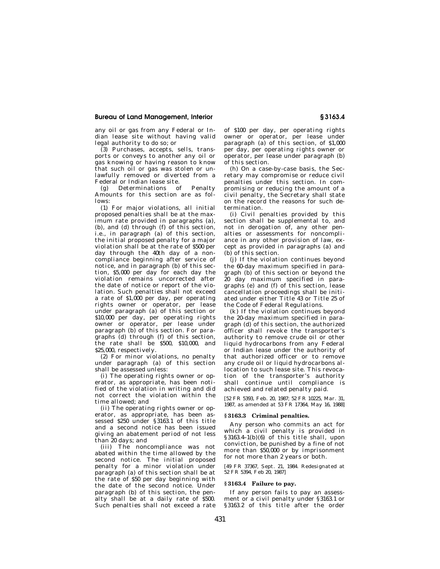#### **Bureau of Land Management, Interior § 3163.4**

any oil or gas from any Federal or Indian lease site without having valid legal authority to do so; or

(3) Purchases, accepts, sells, transports or conveys to another any oil or gas knowing or having reason to know that such oil or gas was stolen or unlawfully removed or diverted from a Federal or Indian lease site.

(g) Determinations of Penalty Amounts for this section are as follows:

(1) For major violations, all initial proposed penalties shall be at the maximum rate provided in paragraphs (a), (b), and (d) through (f) of this section, i.e., in paragraph (a) of this section, the initial proposed penalty for a major violation shall be at the rate of \$500 per day through the 40th day of a noncompliance beginning after service of notice, and in paragraph (b) of this section, \$5,000 per day for each day the violation remains uncorrected after the date of notice or report of the violation. Such penalties shall not exceed a rate of \$1,000 per day, per operating rights owner or operator, per lease under paragraph (a) of this section or \$10,000 per day, per operating rights owner or operator, per lease under paragraph (b) of this section. For paragraphs (d) through (f) of this section, the rate shall be \$500, \$10,000, and \$25,000, respectively.

(2) For minor violations, no penalty under paragraph (a) of this section shall be assessed unless:

(i) The operating rights owner or operator, as appropriate, has been notified of the violation in writing and did not correct the violation within the time allowed; and

(ii) The operating rights owner or operator, as appropriate, has been assessed \$250 under §3163.1 of this title and a second notice has been issued giving an abatement period of not less than 20 days; and

(iii) The noncompliance was not abated within the time allowed by the second notice. The initial proposed penalty for a minor violation under paragraph (a) of this section shall be at the rate of \$50 per day beginning with the date of the second notice. Under paragraph (b) of this section, the penalty shall be at a daily rate of \$500. Such penalties shall not exceed a rate

of \$100 per day, per operating rights owner or operator, per lease under paragraph (a) of this section, of \$1,000 per day, per operating rights owner or operator, per lease under paragraph (b) of this section.

(h) On a case-by-case basis, the Secretary may compromise or reduce civil penalties under this section. In compromising or reducing the amount of a civil penalty, the Secretary shall state on the record the reasons for such determination.

(i) Civil penalties provided by this section shall be supplemental to, and not in derogation of, any other penalties or assessments for noncompliance in any other provision of law, except as provided in paragraphs (a) and (b) of this section.

(j) If the violation continues beyond the 60-day maximum specified in paragraph (b) of this section or beyond the 20 day maximum specified in paragraphs (e) and (f) of this section, lease cancellation proceedings shall be initiated under either Title 43 or Title 25 of the Code of Federal Regulations.

(k) If the violation continues beyond the 20-day maximum specified in paragraph (d) of this section, the authorized officer shall revoke the transporter's authority to remove crude oil or other liquid hydrocarbons from any Federal or Indian lease under the authority of that authorized officer or to remove any crude oil or liquid hydrocarbons allocation to such lease site. This revocation of the transporter's authority shall continue until compliance is achieved and related penalty paid.

[52 FR 5393, Feb. 20, 1987; 52 FR 10225, Mar. 31, 1987, as amended at 53 FR 17364, May 16, 1988]

#### **§ 3163.3 Criminal penalties.**

Any person who commits an act for which a civil penalty is provided in §3163.4–1(b)(6) of this title shall, upon conviction, be punished by a fine of not more than \$50,000 or by imprisonment for not more than 2 years or both.

[49 FR 37367, Sept. 21, 1984. Redesignated at 52 FR 5394, Feb 20, 1987]

#### **§ 3163.4 Failure to pay.**

If any person fails to pay an assessment or a civil penalty under §3163.1 or §3163.2 of this title after the order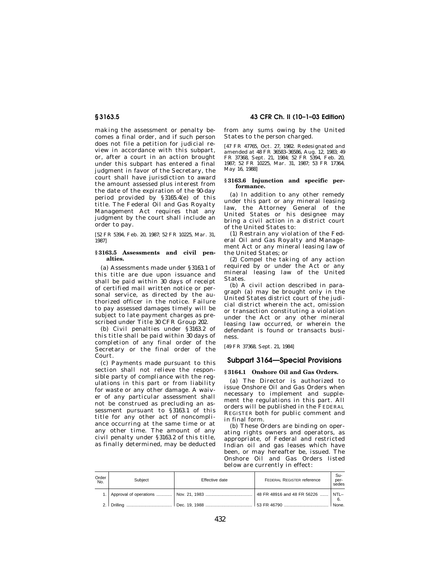making the assessment or penalty becomes a final order, and if such person does not file a petition for judicial review in accordance with this subpart, or, after a court in an action brought under this subpart has entered a final judgment in favor of the Secretary, the court shall have jurisdiction to award the amount assessed plus interest from the date of the expiration of the 90-day period provided by §3165.4(e) of this title. The Federal Oil and Gas Royalty Management Act requires that any judgment by the court shall include an order to pay.

[52 FR 5394, Feb. 20, 1987; 52 FR 10225, Mar. 31, 1987]

#### **§ 3163.5 Assessments and civil penalties.**

(a) Assessments made under §3163.1 of this title are due upon issuance and shall be paid within 30 days of receipt of certified mail written notice or personal service, as directed by the authorized officer in the notice. Failure to pay assessed damages timely will be subject to late payment charges as prescribed under Title 30 CFR Group 202.

(b) Civil penalties under §3163.2 of this title shall be paid within 30 days of completion of any final order of the Secretary or the final order of the Court.

(c) Payments made pursuant to this section shall not relieve the responsible party of compliance with the regulations in this part or from liability for waste or any other damage. A waiver of any particular assessment shall not be construed as precluding an assessment pursuant to §3163.1 of this title for any other act of noncompliance occurring at the same time or at any other time. The amount of any civil penalty under §3163.2 of this title, as finally determined, may be deducted

#### **§ 3163.5 43 CFR Ch. II (10–1–03 Edition)**

from any sums owing by the United States to the person charged.

[47 FR 47765, Oct. 27, 1982. Redesignated and amended at 48 FR 36583–36586, Aug. 12, 1983; 49 FR 37368, Sept. 21, 1984; 52 FR 5394, Feb. 20, 1987; 52 FR 10225, Mar. 31, 1987; 53 FR 17364, May 16, 1988]

#### **§ 3163.6 Injunction and specific performance.**

(a) In addition to any other remedy under this part or any mineral leasing law, the Attorney General of the United States or his designee may bring a civil action in a district court of the United States to:

(1) Restrain any violation of the Federal Oil and Gas Royalty and Management Act or any mineral leasing law of the United States; or

(2) Compel the taking of any action required by or under the Act or any mineral leasing law of the United States.

(b) A civil action described in paragraph (a) may be brought only in the United States district court of the judicial district wherein the act, omission or transaction constituting a violation under the Act or any other mineral leasing law occurred, or wherein the defendant is found or transacts business

[49 FR 37368, Sept. 21, 1984]

#### **Subpart 3164—Special Provisions**

#### **§ 3164.1 Onshore Oil and Gas Orders.**

(a) The Director is authorized to issue Onshore Oil and Gas Orders when necessary to implement and supplement the regulations in this part. All orders will be published in the FEDERAL REGISTER both for public comment and in final form.

(b) These Orders are binding on operating rights owners and operators, as appropriate, of Federal and restricted Indian oil and gas leases which have been, or may hereafter be, issued. The Onshore Oil and Gas Orders listed below are currently in effect:

| Order<br>No. | Subject | Effective date                                                                   | <b>FEDERAL REGISTER reference</b> | Su-<br>per-<br>sedes |
|--------------|---------|----------------------------------------------------------------------------------|-----------------------------------|----------------------|
|              |         |                                                                                  | 48 FR 48916 and 48 FR 56226  NTL- | - 6.                 |
|              |         | 2. Drilling ……………………………………   Dec. 19. 1988 ……………………………………   53 FR 46790 …………………… |                                   | <b>None</b>          |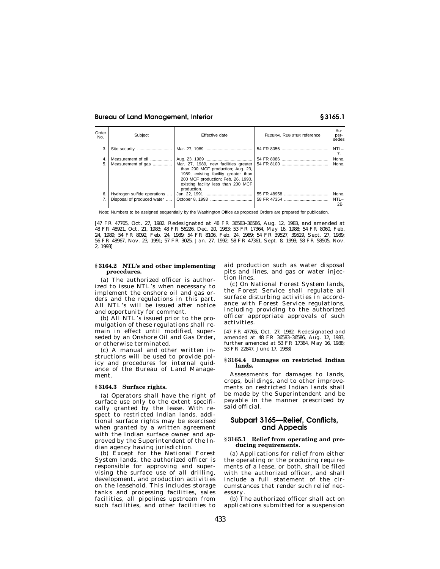#### **Bureau of Land Management, Interior § 3165.1**

| Order<br>No. | Subject                     | Effective date                                                                                                                                                        | <b>FEDERAL REGISTER reference</b> | Su-<br>per-<br>sedes |
|--------------|-----------------------------|-----------------------------------------------------------------------------------------------------------------------------------------------------------------------|-----------------------------------|----------------------|
| 3.           | Site security               |                                                                                                                                                                       |                                   | $NTL -$<br>7.        |
|              | Measurement of oil          |                                                                                                                                                                       |                                   | None.                |
| 5.           | Measurement of gas          | than 200 MCF production; Aug. 23,<br>1989, existing facility greater than<br>200 MCF production; Feb. 26, 1990,<br>existing facility less than 200 MCF<br>production. |                                   | None.                |
| 6.           | Hydrogen sulfide operations |                                                                                                                                                                       |                                   | None.                |
|              | Disposal of produced water  |                                                                                                                                                                       |                                   | $NTL -$<br>2B        |

Note: Numbers to be assigned sequentially by the Washington Office as proposed Orders are prepared for publication.

[47 FR 47765, Oct. 27, 1982. Redesignated at 48 FR 36583–36586, Aug. 12, 1983, and amended at 48 FR 48921, Oct. 21, 1983; 48 FR 56226, Dec. 20, 1983; 53 FR 17364, May 16, 1988; 54 FR 8060, Feb. 24, 1989; 54 FR 8092, Feb. 24, 1989; 54 FR 8106, Feb. 24, 1989; 54 FR 39527, 39529, Sept. 27, 1989; 56 FR 48967, Nov. 23, 1991; 57 FR 3025, Jan. 27, 1992; 58 FR 47361, Sept. 8, 1993; 58 FR 58505, Nov. 2, 1993]

#### **§ 3164.2 NTL's and other implementing procedures.**

(a) The authorized officer is authorized to issue NTL's when necessary to implement the onshore oil and gas orders and the regulations in this part. All NTL's will be issued after notice and opportunity for comment.

(b) All NTL's issued prior to the promulgation of these regulations shall remain in effect until modified, superseded by an Onshore Oil and Gas Order, or otherwise terminated.

(c) A manual and other written instructions will be used to provide policy and procedures for internal guidance of the Bureau of Land Management.

#### **§ 3164.3 Surface rights.**

(a) Operators shall have the right of surface use only to the extent specifically granted by the lease. With respect to restricted Indian lands, additional surface rights may be exercised when granted by a written agreement with the Indian surface owner and approved by the Superintendent of the Indian agency having jurisdiction.

(b) Except for the National Forest System lands, the authorized officer is responsible for approving and supervising the surface use of all drilling, development, and production activities on the leasehold. This includes storage tanks and processing facilities, sales facilities, all pipelines upstream from such facilities, and other facilities to

aid production such as water disposal pits and lines, and gas or water injection lines.

(c) On National Forest System lands, the Forest Service shall regulate all surface disturbing activities in accordance with Forest Service regulations, including providing to the authorized officer appropriate approvals of such activities.

[47 FR 47765, Oct. 27, 1982. Redesignated and amended at 48 FR 36583–36586, Aug. 12, 1983, further amended at 53 FR 17364, May 16, 1988; 53 FR 22847, June 17, 1988]

#### **§ 3164.4 Damages on restricted Indian lands.**

Assessments for damages to lands, crops, buildings, and to other improvements on restricted Indian lands shall be made by the Superintendent and be payable in the manner prescribed by said official.

#### **Subpart 3165—Relief, Conflicts, and Appeals**

#### **§ 3165.1 Relief from operating and producing requirements.**

(a) Applications for relief from either the operating or the producing requirements of a lease, or both, shall be filed with the authorized officer, and shall include a full statement of the circumstances that render such relief necessary

(b) The authorized officer shall act on applications submitted for a suspension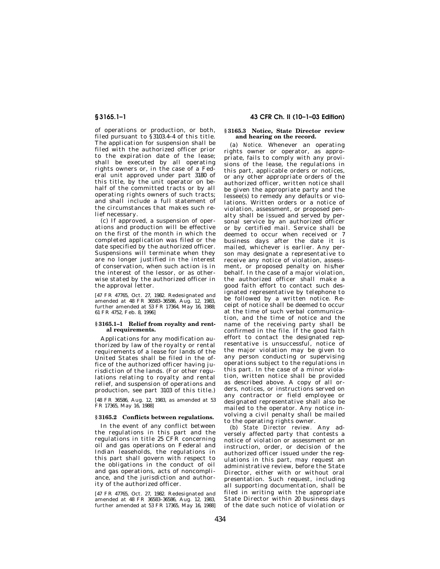of operations or production, or both, filed pursuant to  $\hat{S}$ 3103.4–4 of this title. The application for suspension shall be filed with the authorized officer prior to the expiration date of the lease; shall be executed by all operating rights owners or, in the case of a Federal unit approved under part 3180 of this title, by the unit operator on behalf of the committed tracts or by all operating rights owners of such tracts; and shall include a full statement of the circumstances that makes such relief necessary.

(c) If approved, a suspension of operations and production will be effective on the first of the month in which the completed application was filed or the date specified by the authorized officer. Suspensions will terminate when they are no longer justified in the interest of conservation, when such action is in the interest of the lessor, or as otherwise stated by the authorized officer in the approval letter.

[47 FR 47765, Oct. 27, 1982. Redesignated and amended at 48 FR 36583–36586, Aug. 12, 1983, further amended at 53 FR 17364, May 16, 1988; 61 FR 4752, Feb. 8, 1996]

#### **§ 3165.1–1 Relief from royalty and rental requirements.**

Applications for any modification authorized by law of the royalty or rental requirements of a lease for lands of the United States shall be filed in the office of the authorized officer having jurisdiction of the lands. (For other regulations relating to royalty and rental relief, and suspension of operations and production, see part 3103 of this title.)

[48 FR 36586, Aug. 12, 1983, as amended at 53 FR 17365, May 16, 1988]

#### **§ 3165.2 Conflicts between regulations.**

In the event of any conflict between the regulations in this part and the regulations in title 25 CFR concerning oil and gas operations on Federal and Indian leaseholds, the regulations in this part shall govern with respect to the obligations in the conduct of oil and gas operations, acts of noncompliance, and the jurisdiction and authority of the authorized officer.

[47 FR 47765, Oct. 27, 1982. Redesignated and amended at 48 FR 36583–36586, Aug. 12, 1983, further amended at 53 FR 17365, May 16, 1988]

#### **§ 3165.1–1 43 CFR Ch. II (10–1–03 Edition)**

#### **§ 3165.3 Notice, State Director review and hearing on the record.**

(a) *Notice.* Whenever an operating rights owner or operator, as appropriate, fails to comply with any provisions of the lease, the regulations in this part, applicable orders or notices, or any other appropriate orders of the authorized officer, written notice shall be given the appropriate party and the lessee(s) to remedy any defaults or violations. Written orders or a notice of violation, assessment, or proposed penalty shall be issued and served by personal service by an authorized officer or by certified mail. Service shall be deemed to occur when received or 7 business days after the date it is mailed, whichever is earlier. Any person may designate a representative to receive any notice of violation, assessment, or proposed penalty on his/her behalf. In the case of a major violation, the authorized officer shall make a good faith effort to contact such designated representative by telephone to be followed by a written notice. Receipt of notice shall be deemed to occur at the time of such verbal communication, and the time of notice and the name of the receiving party shall be confirmed in the file. If the good faith effort to contact the designated representative is unsuccessful, notice of the major violation may be given to any person conducting or supervising operations subject to the regulations in this part. In the case of a minor violation, written notice shall be provided as described above. A copy of all orders, notices, or instructions served on any contractor or field employee or designated representative shall also be mailed to the operator. Any notice involving a civil penalty shall be mailed to the operating rights owner.

(b) *State Director review.* Any adversely affected party that contests a notice of violation or assessment or an instruction, order, or decision of the authorized officer issued under the regulations in this part, may request an administrative review, before the State Director, either with or without oral presentation. Such request, including all supporting documentation, shall be filed in writing with the appropriate State Director within 20 business days of the date such notice of violation or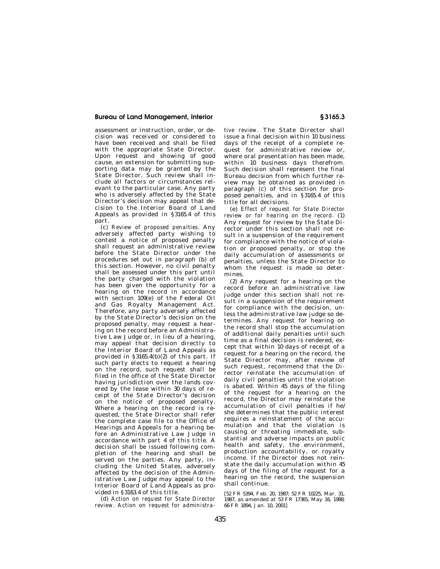#### **Bureau of Land Management, Interior § 3165.3**

assessment or instruction, order, or decision was received or considered to have been received and shall be filed with the appropriate State Director. Upon request and showing of good cause, an extension for submitting supporting data may be granted by the State Director. Such review shall include all factors or circumstances relevant to the particular case. Any party who is adversely affected by the State Director's decision may appeal that decision to the Interior Board of Land Appeals as provided in §3165.4 of this part.

(c) *Review of proposed penalties.* Any adversely affected party wishing to contest a notice of proposed penalty shall request an administrative review before the State Director under the procedures set out in paragraph (b) of this section. However, no civil penalty shall be assessed under this part until the party charged with the violation has been given the opportunity for a hearing on the record in accordance with section 109(e) of the Federal Oil and Gas Royalty Management Act. Therefore, any party adversely affected by the State Director's decision on the proposed penalty, may request a hearing on the record before an Administrative Law Judge or, in lieu of a hearing, may appeal that decision directly to the Interior Board of Land Appeals as provided in  $\S 3165.4(b)(2)$  of this part. If such party elects to request a hearing on the record, such request shall be filed in the office of the State Director having jurisdiction over the lands covered by the lease within 30 days of receipt of the State Director's decision on the notice of proposed penalty. Where a hearing on the record is requested, the State Director shall refer the complete case file to the Office of Hearings and Appeals for a hearing before an Administrative Law Judge in accordance with part 4 of this title. A decision shall be issued following completion of the hearing and shall be served on the parties. Any party, including the United States, adversely affected by the decision of the Administrative Law Judge may appeal to the Interior Board of Land Appeals as provided in §3163.4 of this title.

(d) *Action on request for State Director review. Action on request for administra-*

*tive review.* The State Director shall issue a final decision within 10 business days of the receipt of a complete request for administrative review or, where oral presentation has been made, within 10 business days therefrom. Such decision shall represent the final Bureau decision from which further review may be obtained as provided in paragraph (c) of this section for proposed penalties, and in §3165.4 of this title for all decisions.

(e) *Effect of request for State Director review or for hearing on the record.* (1) Any request for review by the State Director under this section shall not result in a suspension of the requirement for compliance with the notice of violation or proposed penalty, or stop the daily accumulation of assessments or penalties, unless the State Director to whom the request is made so determines.

(2) Any request for a hearing on the record before an administrative law judge under this section shall not result in a suspension of the requirement for compliance with the decision, unless the administrative law judge so determines. Any request for hearing on the record shall stop the accumulation of additional daily penalties until such time as a final decision is rendered, except that within 10 days of receipt of a request for a hearing on the record, the State Director may, after review of such request, recommend that the Director reinstate the accumulation of daily civil penalties until the violation is abated. Within 45 days of the filing of the request for a hearing on the record, the Director may reinstate the accumulation of civil penalties if he/ she determines that the public interest requires a reinstatement of the accumulation and that the violation is causing or threating immediate, substantial and adverse impacts on public health and safety, the environment, production accountability, or royalty income. If the Director does not reinstate the daily accumulation within 45 days of the filing of the request for a hearing on the record, the suspension shall continue.

[52 FR 5394, Feb. 20, 1987; 52 FR 10225, Mar. 31, 1987, as amended at 53 FR 17365, May 16, 1988; 66 FR 1894, Jan. 10, 2001]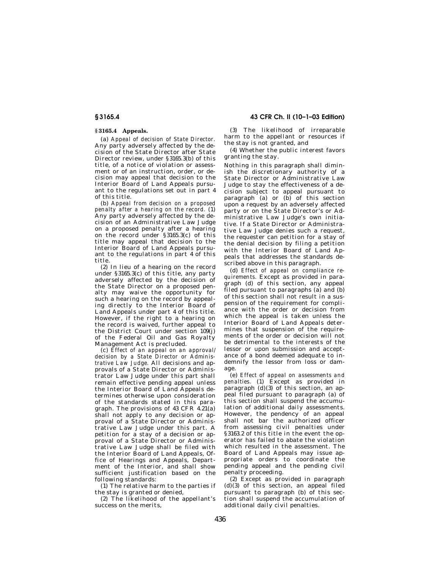#### **§ 3165.4 Appeals.**

(a) *Appeal of decision of State Director.* Any party adversely affected by the decision of the State Director after State Director review, under §3165.3(b) of this title, of a notice of violation or assessment or of an instruction, order, or decision may appeal that decision to the Interior Board of Land Appeals pursuant to the regulations set out in part 4 of this title.

(b) *Appeal from decision on a proposed penalty after a hearing on the record.* (1) Any party adversely affected by the decision of an Administrative Law Judge on a proposed penalty after a hearing on the record under §3165.3(c) of this title may appeal that decision to the Interior Board of Land Appeals pursuant to the regulations in part 4 of this title.

(2) In lieu of a hearing on the record under §3165.3(c) of this title, any party adversely affected by the decision of the State Director on a proposed penalty may waive the opportunity for such a hearing on the record by appealing directly to the Interior Board of Land Appeals under part 4 of this title. However, if the right to a hearing on the record is waived, further appeal to the District Court under section 109(j) of the Federal Oil and Gas Royalty Management Act is precluded.

(c) *Effect of an appeal on an approval/ decision by a State Director or Administrative Law Judge.* All decisions and approvals of a State Director or Administrator Law Judge under this part shall remain effective pending appeal unless the Interior Board of Land Appeals determines otherwise upon consideration of the standards stated in this paragraph. The provisions of 43 CFR 4.21(a) shall not apply to any decision or approval of a State Director or Administrative Law Judge under this part. A petition for a stay of a decision or approval of a State Director or Administrative Law Judge shall be filed with the Interior Board of Land Appeals, Office of Hearings and Appeals, Department of the Interior, and shall show sufficient justification based on the following standards:

(1) The relative harm to the parties if the stay is granted or denied,

(2) The likelihood of the appellant's success on the merits,

**§ 3165.4 43 CFR Ch. II (10–1–03 Edition)**

(3) The likelihood of irreparable harm to the appellant or resources if the stay is not granted, and

(4) Whether the public interest favors granting the stay.

Nothing in this paragraph shall diminish the discretionary authority of a State Director or Administrative Law Judge to stay the effectiveness of a decision subject to appeal pursuant to paragraph  $(a)$  or  $(b)$  of this section upon a request by an adversely affected party or on the State Director's or Administrative Law Judge's own initiative. If a State Director or Administrative Law Judge denies such a request, the requester can petition for a stay of the denial decision by filing a petition with the Interior Board of Land Appeals that addresses the standards described above in this paragraph.

(d) *Effect of appeal on compliance requirements.* Except as provided in paragraph (d) of this section, any appeal filed pursuant to paragraphs (a) and (b) of this section shall not result in a suspension of the requirement for compliance with the order or decision from which the appeal is taken unless the Interior Board of Land Appeals determines that suspension of the requirements of the order or decision will not be detrimental to the interests of the lessor or upon submission and acceptance of a bond deemed adequate to indemnify the lessor from loss or damage.

(e) *Effect of appeal on assessments and penalties.* (1) Except as provided in paragraph (d)(3) of this section, an appeal filed pursuant to paragraph (a) of this section shall suspend the accumulation of additional daily assessments. However, the pendency of an appeal shall not bar the authorized officer from assessing civil penalties under §3163.2 of this title in the event the operator has failed to abate the violation which resulted in the assessment. The Board of Land Appeals may issue appropriate orders to coordinate the pending appeal and the pending civil penalty proceeding.

(2) Except as provided in paragraph  $(d)(3)$  of this section, an appeal filed pursuant to paragraph (b) of this section shall suspend the accumulation of additional daily civil penalties.